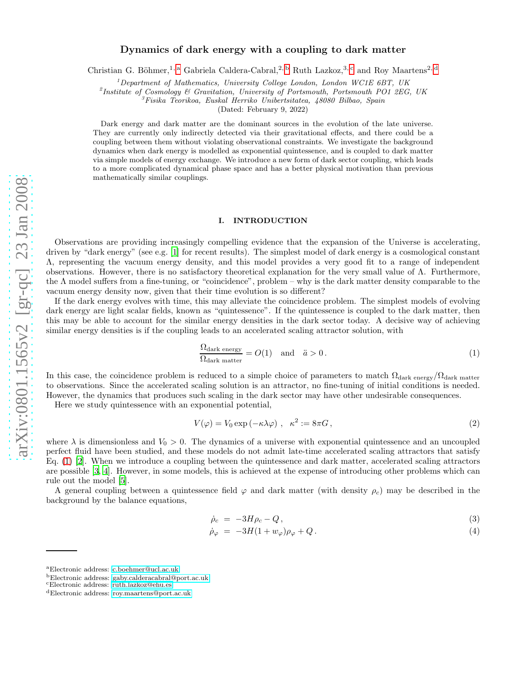## Dynamics of dark energy with a coupling to dark matter

Christian G. Böhmer,<sup>1, [a](#page-0-0)</sup> Gabriela Caldera-Cabral,<sup>2, [b](#page-0-1)</sup> Ruth Lazkoz,<sup>3, [c](#page-0-2)</sup> and Roy Maartens<sup>2, [d](#page-0-3)</sup>

 $1$ Department of Mathematics, University College London, London WC1E 6BT, UK

<sup>2</sup>Institute of Cosmology & Gravitation, University of Portsmouth, Portsmouth PO1 2EG, UK

 ${}^{3}F$ isika Teorikoa, Euskal Herriko Unibertsitatea, 48080 Bilbao, Spain

(Dated: February 9, 2022)

Dark energy and dark matter are the dominant sources in the evolution of the late universe. They are currently only indirectly detected via their gravitational effects, and there could be a coupling between them without violating observational constraints. We investigate the background dynamics when dark energy is modelled as exponential quintessence, and is coupled to dark matter via simple models of energy exchange. We introduce a new form of dark sector coupling, which leads to a more complicated dynamical phase space and has a better physical motivation than previous mathematically similar couplings.

### I. INTRODUCTION

Observations are providing increasingly compelling evidence that the expansion of the Universe is accelerating, driven by "dark energy" (see e.g. [\[1](#page-9-0)] for recent results). The simplest model of dark energy is a cosmological constant Λ, representing the vacuum energy density, and this model provides a very good fit to a range of independent observations. However, there is no satisfactory theoretical explanation for the very small value of Λ. Furthermore, the Λ model suffers from a fine-tuning, or "coincidence", problem – why is the dark matter density comparable to the vacuum energy density now, given that their time evolution is so different?

If the dark energy evolves with time, this may alleviate the coincidence problem. The simplest models of evolving dark energy are light scalar fields, known as "quintessence". If the quintessence is coupled to the dark matter, then this may be able to account for the similar energy densities in the dark sector today. A decisive way of achieving similar energy densities is if the coupling leads to an accelerated scaling attractor solution, with

<span id="page-0-4"></span>
$$
\frac{\Omega_{\text{dark energy}}}{\Omega_{\text{dark matter}}} = O(1) \quad \text{and} \quad \ddot{a} > 0. \tag{1}
$$

In this case, the coincidence problem is reduced to a simple choice of parameters to match  $\Omega_{\text{dark energy}}/\Omega_{\text{dark matter}}$ to observations. Since the accelerated scaling solution is an attractor, no fine-tuning of initial conditions is needed. However, the dynamics that produces such scaling in the dark sector may have other undesirable consequences.

Here we study quintessence with an exponential potential,

$$
V(\varphi) = V_0 \exp(-\kappa \lambda \varphi) , \quad \kappa^2 := 8\pi G , \tag{2}
$$

where  $\lambda$  is dimensionless and  $V_0 > 0$ . The dynamics of a universe with exponential quintessence and an uncoupled perfect fluid have been studied, and these models do not admit late-time accelerated scaling attractors that satisfy Eq. [\(1\)](#page-0-4) [\[2](#page-10-0)]. When we introduce a coupling between the quintessence and dark matter, accelerated scaling attractors are possible [\[3,](#page-10-1) [4](#page-10-2)]. However, in some models, this is achieved at the expense of introducing other problems which can rule out the model [\[5](#page-10-3)].

A general coupling between a quintessence field  $\varphi$  and dark matter (with density  $\rho_c$ ) may be described in the background by the balance equations,

<span id="page-0-5"></span>
$$
\dot{\rho}_c = -3H\rho_c - Q\,,\tag{3}
$$

$$
\dot{\rho}_{\varphi} = -3H(1+w_{\varphi})\rho_{\varphi} + Q. \tag{4}
$$

<span id="page-0-0"></span><sup>a</sup>Electronic address: [c.boehmer@ucl.ac.uk](mailto:c.boehmer@ucl.ac.uk)

<span id="page-0-1"></span><sup>b</sup>Electronic address: [gaby.calderacabral@port.ac.uk](mailto:gaby.calderacabral@port.ac.uk)

<span id="page-0-2"></span><sup>c</sup>Electronic address: [ruth.lazkoz@ehu.es](mailto:ruth.lazkoz@ehu.es)

<span id="page-0-3"></span><sup>d</sup>Electronic address: [roy.maartens@port.ac.uk](mailto:roy.maartens@port.ac.uk)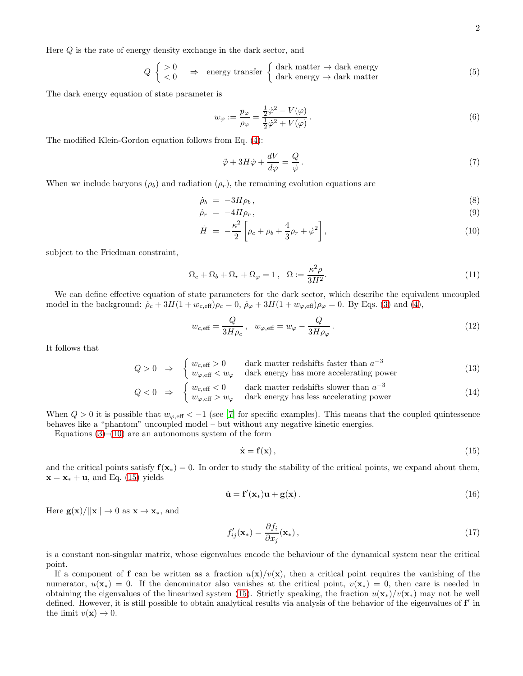Here Q is the rate of energy density exchange in the dark sector, and

<span id="page-1-2"></span>
$$
Q \begin{cases} > 0 \\ < 0 \end{cases} \Rightarrow \text{ energy transfer } \begin{cases} \text{dark matter} \rightarrow \text{dark energy} \\ \text{dark energy} \rightarrow \text{dark matter} \end{cases} \tag{5}
$$

The dark energy equation of state parameter is

$$
w_{\varphi} := \frac{p_{\varphi}}{\rho_{\varphi}} = \frac{\frac{1}{2}\dot{\varphi}^2 - V(\varphi)}{\frac{1}{2}\dot{\varphi}^2 + V(\varphi)}.
$$
\n
$$
(6)
$$

The modified Klein-Gordon equation follows from Eq. [\(4\)](#page-0-5):

$$
\ddot{\varphi} + 3H\dot{\varphi} + \frac{dV}{d\varphi} = \frac{Q}{\dot{\varphi}}.
$$
\n(7)

When we include baryons ( $\rho_b$ ) and radiation ( $\rho_r$ ), the remaining evolution equations are

<span id="page-1-0"></span>
$$
\dot{\rho}_b = -3H\rho_b, \qquad (8)
$$

$$
\dot{\rho}_r = -4H\rho_r, \qquad (9)
$$

$$
\dot{H} = -\frac{\kappa^2}{2} \left[ \rho_c + \rho_b + \frac{4}{3} \rho_r + \dot{\varphi}^2 \right],\tag{10}
$$

subject to the Friedman constraint,

<span id="page-1-3"></span>
$$
\Omega_c + \Omega_b + \Omega_r + \Omega_\varphi = 1 \,, \quad \Omega := \frac{\kappa^2 \rho}{3H^2}.\tag{11}
$$

We can define effective equation of state parameters for the dark sector, which describe the equivalent uncoupled model in the background:  $\dot{\rho}_c + 3H(1 + w_{c, \text{eff}})\rho_c = 0$ ,  $\dot{\rho}_{\varphi} + 3H(1 + w_{\varphi, \text{eff}})\rho_{\varphi} = 0$ . By Eqs. [\(3\)](#page-0-5) and [\(4\)](#page-0-5),

$$
w_{c, \text{eff}} = \frac{Q}{3H\rho_c}, \quad w_{\varphi, \text{eff}} = w_{\varphi} - \frac{Q}{3H\rho_{\varphi}}.
$$
\n(12)

It follows that

$$
Q > 0 \Rightarrow \begin{cases} w_{c, \text{eff}} > 0 & \text{dark matter redshifts faster than } a^{-3} \\ w_{\varphi, \text{eff}} < w_{\varphi} & \text{dark energy has more accelerating power} \end{cases}
$$
 (13)  

$$
Q < 0 \Rightarrow \begin{cases} w_{c, \text{eff}} < 0 & \text{dark matter redshifts slower than } a^{-3} \\ w_{\varphi, \text{eff}} > w_{\varphi} & \text{dark energy has less accelerating power} \end{cases}
$$
 (14)

When  $Q > 0$  it is possible that  $w_{\varphi, \text{eff}} < -1$  (see [\[7\]](#page-10-4) for specific examples). This means that the coupled quintessence behaves like a "phantom" uncoupled model – but without any negative kinetic energies.

Equations  $(3)$ – $(10)$  are an autonomous system of the form

<span id="page-1-1"></span>
$$
\dot{\mathbf{x}} = \mathbf{f}(\mathbf{x}),\tag{15}
$$

and the critical points satisfy  $f(x_*) = 0$ . In order to study the stability of the critical points, we expand about them,  $\mathbf{x} = \mathbf{x} * + \mathbf{u}$ , and Eq. [\(15\)](#page-1-1) yields

$$
\dot{\mathbf{u}} = \mathbf{f}'(\mathbf{x}_*)\mathbf{u} + \mathbf{g}(\mathbf{x})\,. \tag{16}
$$

Here  $g(x)/||x|| \to 0$  as  $x \to x_*,$  and

<span id="page-1-4"></span>
$$
f'_{ij}(\mathbf{x}_{*}) = \frac{\partial f_{i}}{\partial x_{j}}(\mathbf{x}_{*}),
$$
\n(17)

is a constant non-singular matrix, whose eigenvalues encode the behaviour of the dynamical system near the critical point.

If a component of f can be written as a fraction  $u(\mathbf{x})/v(\mathbf{x})$ , then a critical point requires the vanishing of the numerator,  $u(\mathbf{x}_*) = 0$ . If the denominator also vanishes at the critical point,  $v(\mathbf{x}_*) = 0$ , then care is needed in obtaining the eigenvalues of the linearized system [\(15\)](#page-1-1). Strictly speaking, the fraction  $u(\mathbf{x}_{*})/v(\mathbf{x}_{*})$  may not be well defined. However, it is still possible to obtain analytical results via analysis of the behavior of the eigenvalues of f' in the limit  $v(\mathbf{x}) \to 0$ .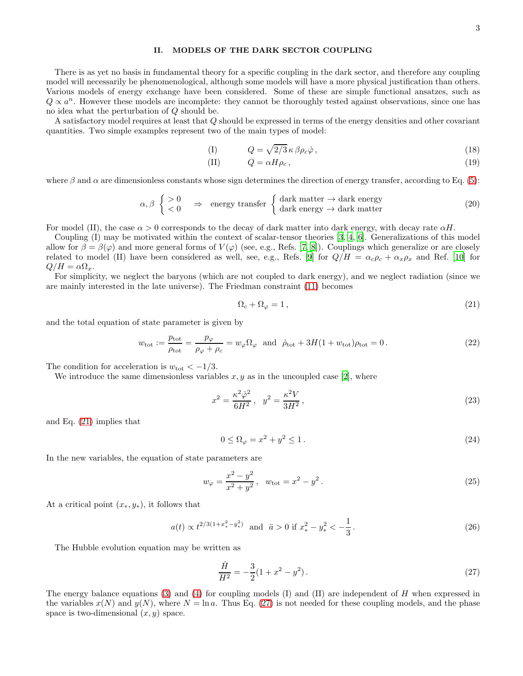### II. MODELS OF THE DARK SECTOR COUPLING

There is as yet no basis in fundamental theory for a specific coupling in the dark sector, and therefore any coupling model will necessarily be phenomenological, although some models will have a more physical justification than others. Various models of energy exchange have been considered. Some of these are simple functional ansatzes, such as  $Q \propto a^n$ . However these models are incomplete: they cannot be thoroughly tested against observations, since one has no idea what the perturbation of Q should be.

A satisfactory model requires at least that  $Q$  should be expressed in terms of the energy densities and other covariant quantities. Two simple examples represent two of the main types of model:

<span id="page-2-2"></span>
$$
(I) \tQ = \sqrt{2/3} \kappa \beta \rho_c \dot{\varphi} \t{,} \t(18)
$$

$$
(II) \tQ = \alpha H \rho_c, \t(19)
$$

where  $\beta$  and  $\alpha$  are dimensionless constants whose sign determines the direction of energy transfer, according to Eq. [\(5\)](#page-1-2):

$$
\alpha, \beta \begin{cases} > 0 \\ < 0 \end{cases} \Rightarrow \text{ energy transfer } \begin{cases} \text{dark matter} \rightarrow \text{dark energy} \\ \text{dark energy} \rightarrow \text{dark matter} \end{cases} \tag{20}
$$

For model (II), the case  $\alpha > 0$  corresponds to the decay of dark matter into dark energy, with decay rate  $\alpha H$ .

Coupling (I) may be motivated within the context of scalar-tensor theories [\[3,](#page-10-1) [4](#page-10-2), [6](#page-10-5)]. Generalizations of this model allow for  $\beta = \beta(\varphi)$  and more general forms of  $V(\varphi)$  (see, e.g., Refs. [\[7](#page-10-4), [8](#page-10-6)]). Couplings which generalize or are closely related to model (II) have been considered as well, see, e.g., Refs. [\[9](#page-10-7)] for  $Q/H = \alpha_c \rho_c + \alpha_x \rho_x$  and Ref. [\[10\]](#page-10-8) for  $Q/H = \alpha \Omega_x$ .

For simplicity, we neglect the baryons (which are not coupled to dark energy), and we neglect radiation (since we are mainly interested in the late universe). The Friedman constraint [\(11\)](#page-1-3) becomes

<span id="page-2-0"></span>
$$
\Omega_c + \Omega_\varphi = 1\,,\tag{21}
$$

and the total equation of state parameter is given by

$$
w_{\text{tot}} := \frac{p_{\text{tot}}}{\rho_{\text{tot}}} = \frac{p_{\varphi}}{\rho_{\varphi} + \rho_c} = w_{\varphi} \Omega_{\varphi} \text{ and } \dot{\rho}_{\text{tot}} + 3H(1 + w_{\text{tot}})\rho_{\text{tot}} = 0.
$$
 (22)

The condition for acceleration is  $w_{\text{tot}} < -1/3$ .

We introduce the same dimensionless variables  $x, y$  as in the uncoupled case [\[2](#page-10-0)], where

$$
x^{2} = \frac{\kappa^{2} \dot{\varphi}^{2}}{6H^{2}}, \quad y^{2} = \frac{\kappa^{2} V}{3H^{2}}, \tag{23}
$$

and Eq. [\(21\)](#page-2-0) implies that

$$
0 \le \Omega_{\varphi} = x^2 + y^2 \le 1. \tag{24}
$$

In the new variables, the equation of state parameters are

$$
w_{\varphi} = \frac{x^2 - y^2}{x^2 + y^2}, \quad w_{\text{tot}} = x^2 - y^2. \tag{25}
$$

At a critical point  $(x_*, y_*)$ , it follows that

$$
a(t) \propto t^{2/3(1+x_*^2-y_*^2)}
$$
 and  $\ddot{a} > 0$  if  $x_*^2 - y_*^2 < -\frac{1}{3}$ . (26)

The Hubble evolution equation may be written as

<span id="page-2-1"></span>
$$
\frac{\dot{H}}{H^2} = -\frac{3}{2}(1+x^2-y^2). \tag{27}
$$

The energy balance equations [\(3\)](#page-0-5) and [\(4\)](#page-0-5) for coupling models (I) and (II) are independent of H when expressed in the variables  $x(N)$  and  $y(N)$ , where  $N = \ln a$ . Thus Eq. [\(27\)](#page-2-1) is not needed for these coupling models, and the phase space is two-dimensional  $(x, y)$  space.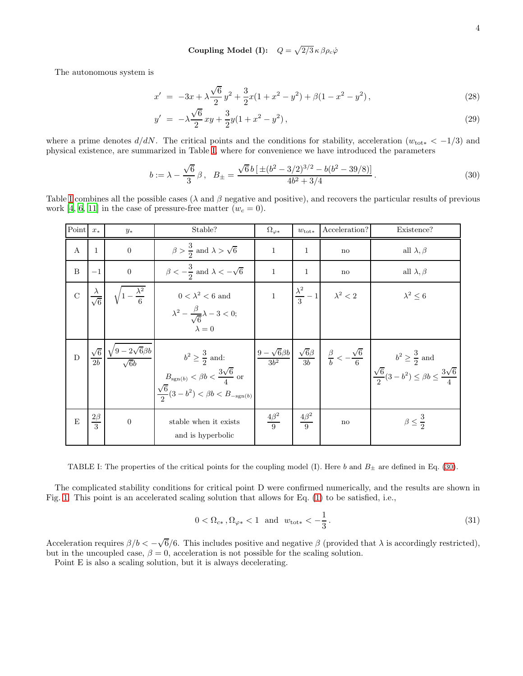Coupling Model (I):  $Q = \sqrt{2/3} \kappa \beta \rho_c \dot{\varphi}$ 

The autonomous system is

$$
x' = -3x + \lambda \frac{\sqrt{6}}{2}y^2 + \frac{3}{2}x(1 + x^2 - y^2) + \beta(1 - x^2 - y^2),
$$
\n(28)

$$
y' = -\lambda \frac{\sqrt{6}}{2} xy + \frac{3}{2} y (1 + x^2 - y^2), \qquad (29)
$$

where a prime denotes  $d/dN$ . The critical points and the conditions for stability, acceleration ( $w_{\text{tot}*} < -1/3$ ) and physical existence, are summarized in Table [I,](#page-3-0) where for convenience we have introduced the parameters

<span id="page-3-1"></span>
$$
b := \lambda - \frac{\sqrt{6}}{3} \beta, \quad B_{\pm} = \frac{\sqrt{6}b \left[ \pm (b^2 - 3/2)^{3/2} - b(b^2 - 39/8) \right]}{4b^2 + 3/4}.
$$
 (30)

Table [I](#page-3-0) combines all the possible cases ( $\lambda$  and  $\beta$  negative and positive), and recovers the particular results of previous work [\[4](#page-10-2), [6](#page-10-5), [11](#page-10-9)] in the case of pressure-free matter  $(w_c = 0)$ .

| Point          | $x_*$                      | $y_*$                                                                                | Stable?                                                                                                                                                                                                                                                                                                                                                                                                                                    | $\Omega_{\varphi*}$  | $w_{\text{tot}*}$                                 | Acceleration?          | Existence?               |
|----------------|----------------------------|--------------------------------------------------------------------------------------|--------------------------------------------------------------------------------------------------------------------------------------------------------------------------------------------------------------------------------------------------------------------------------------------------------------------------------------------------------------------------------------------------------------------------------------------|----------------------|---------------------------------------------------|------------------------|--------------------------|
| $\mathbf{A}$   | $\mathbf{1}$               | $\overline{0}$                                                                       | $\beta > \frac{3}{2}$ and $\lambda > \sqrt{6}$                                                                                                                                                                                                                                                                                                                                                                                             | $\mathbf{1}$         | 1                                                 | $\mathbf{n}\mathbf{o}$ | all $\lambda, \beta$     |
| $\, {\bf B}$   | $-1$                       | $\boldsymbol{0}$                                                                     | $\beta<-\frac{3}{2}$ and $\lambda<-\sqrt{6}$                                                                                                                                                                                                                                                                                                                                                                                               | $\mathbf{1}$         | $\mathbf{1}$                                      | $\mathbf{n}\mathbf{o}$ | all $\lambda, \beta$     |
| $\mathbf C$    | $\frac{\lambda}{\sqrt{6}}$ | $\sqrt{1-\frac{\lambda^2}{6}}$                                                       | $0<\lambda^2<6$ and                                                                                                                                                                                                                                                                                                                                                                                                                        |                      | $1 \qquad \left  \frac{\lambda^2}{3} - 1 \right $ | $\lambda^2<2$          | $\lambda^2 \leq 6$       |
|                |                            |                                                                                      | $\lambda^2 - \frac{\beta}{\sqrt{6}}\lambda - 3 < 0;$<br>$\lambda=0$                                                                                                                                                                                                                                                                                                                                                                        |                      |                                                   |                        |                          |
| $\overline{D}$ |                            | $\left(\frac{\sqrt{6}}{2b}\right)\frac{\sqrt{9-2\sqrt{6}}\beta b}{\sqrt{6}b}\right)$ | $\begin{array}{ c c c c c } \hline & & b^2\geq \frac{3}{2} \mbox{ and:} \\ & & \frac{3\sqrt{6}}{4} \mbox{ or } \end{array} \hspace{1cm} \begin{array}{ c c c c c c } \hline & \frac{9-\sqrt{6}\beta b}{3b^2} & \frac{\sqrt{6}\beta}{3b} & \frac{\beta}{b} < -\frac{\sqrt{6}}{6} \\ & & \frac{\sqrt{6}}{2}(3-b^2) \leq \beta b \leq \frac{3\sqrt{6}}{4} \mbox{ } \end{array}$<br>$\frac{\sqrt{6}}{2}(3-b^2) < \beta b < B_{-\text{sgn}(b)}$ |                      |                                                   |                        |                          |
| E              | $\frac{2\beta}{3}$         | $\overline{0}$                                                                       | stable when it exists<br>and is hyperbolic                                                                                                                                                                                                                                                                                                                                                                                                 | $\frac{4\beta^2}{9}$ | $\frac{4\beta^2}{9}$                              | $\mathbf{n}\mathbf{o}$ | $\beta \leq \frac{3}{2}$ |

<span id="page-3-0"></span>TABLE I: The properties of the critical points for the coupling model (I). Here b and  $B_{\pm}$  are defined in Eq. [\(30\)](#page-3-1).

The complicated stability conditions for critical point D were confirmed numerically, and the results are shown in Fig. [1.](#page-4-0) This point is an accelerated scaling solution that allows for Eq. [\(1\)](#page-0-4) to be satisfied, i.e.,

$$
0 < \Omega_{c*}, \Omega_{\varphi*} < 1 \quad \text{and} \quad w_{\text{tot}*} < -\frac{1}{3} \,. \tag{31}
$$

Acceleration requires  $\beta/b < -\sqrt{6}/6$ . This includes positive and negative  $\beta$  (provided that  $\lambda$  is accordingly restricted), but in the uncoupled case,  $\beta = 0$ , acceleration is not possible for the scaling solution.

Point E is also a scaling solution, but it is always decelerating.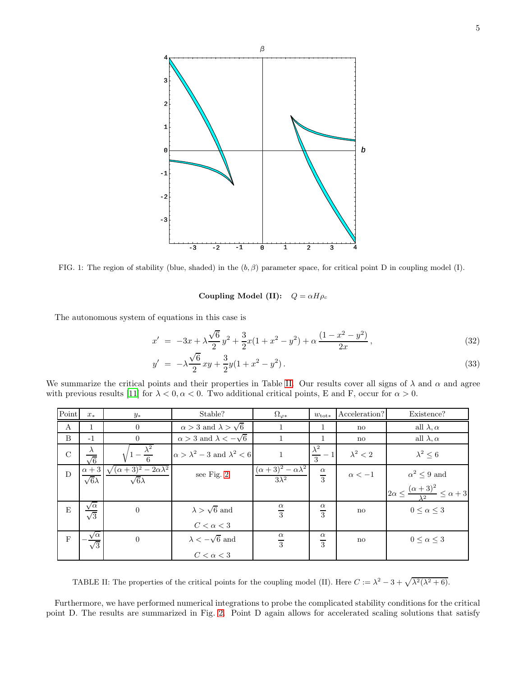

<span id="page-4-0"></span>FIG. 1: The region of stability (blue, shaded) in the  $(b, \beta)$  parameter space, for critical point D in coupling model (I).

# Coupling Model (II):  $Q = \alpha H \rho_c$

The autonomous system of equations in this case is

$$
x' = -3x + \lambda \frac{\sqrt{6}}{2} y^2 + \frac{3}{2} x (1 + x^2 - y^2) + \alpha \frac{(1 - x^2 - y^2)}{2x},
$$
\n(32)

$$
y' = -\lambda \frac{\sqrt{6}}{2}xy + \frac{3}{2}y(1+x^2-y^2). \tag{33}
$$

We summarize the critical points and their properties in Table [II.](#page-4-1) Our results cover all signs of  $\lambda$  and  $\alpha$  and agree with previous results [\[11\]](#page-10-9) for  $\lambda < 0, \alpha < 0$ . Two additional critical points, E and F, occur for  $\alpha > 0$ .

| $\operatorname*{Point}% \left( \mathcal{M}\right) \equiv\operatorname*{Point}% \left( \mathcal{M}\right)$ | $x_*$                            | $y_*$                                                                      | Stable?                                      | $\Omega_{\varphi*}$                                            | $w_{\text{tot}*}$          | Acceleration?   | Existence?                                                  |
|-----------------------------------------------------------------------------------------------------------|----------------------------------|----------------------------------------------------------------------------|----------------------------------------------|----------------------------------------------------------------|----------------------------|-----------------|-------------------------------------------------------------|
| A                                                                                                         |                                  | $\overline{0}$                                                             | $\alpha > 3$ and $\lambda > \sqrt{6}$        |                                                                |                            | no              | all $\lambda, \alpha$                                       |
| B                                                                                                         | $-1$                             | $\Omega$                                                                   | $\alpha > 3$ and $\lambda < -\sqrt{6}$       |                                                                | 1                          | no              | all $\lambda, \alpha$                                       |
| $\mathbf C$                                                                                               | $\lambda$<br>$\sqrt{6}$          |                                                                            | $\alpha > \lambda^2 - 3$ and $\lambda^2 < 6$ |                                                                | $\frac{\lambda^2}{3}$      | $\lambda^2 < 2$ | $\lambda^2 \leq 6$                                          |
| $\mathbf D$                                                                                               | $\sqrt{6}\lambda$                | $\alpha + 3 \sqrt{(\alpha + 3)^2 - 2\alpha\lambda^2}$<br>$\sqrt{6}\lambda$ | see Fig. 2                                   | $(\alpha + 3)^2 - \alpha \overline{\lambda^2}$<br>$3\lambda^2$ | $\alpha$<br>$\overline{3}$ | $\alpha<-1$     | $\alpha^2 \leq 9$ and                                       |
|                                                                                                           |                                  |                                                                            |                                              |                                                                |                            |                 | $2\alpha \leq \frac{(\alpha+3)^2}{\lambda^2} \leq \alpha+3$ |
| ${\bf E}$                                                                                                 | $\frac{\sqrt{\alpha}}{\sqrt{3}}$ | $\overline{0}$                                                             | $\lambda > \sqrt{6}$ and                     | $\frac{\alpha}{3}$                                             | $\alpha$<br>$\overline{3}$ | no              | $0 \leq \alpha \leq 3$                                      |
|                                                                                                           |                                  |                                                                            | $C < \alpha < 3$                             |                                                                |                            |                 |                                                             |
| $\mathbf F$                                                                                               | $\frac{\sqrt{\alpha}}{\sqrt{3}}$ | $\overline{0}$                                                             | $\lambda < -\sqrt{6}$ and                    | $\alpha$<br>$\overline{3}$                                     | $\alpha$<br>$\overline{3}$ | no              | $0 \leq \alpha \leq 3$                                      |
|                                                                                                           |                                  |                                                                            | $C < \alpha < 3$                             |                                                                |                            |                 |                                                             |

<span id="page-4-1"></span>TABLE II: The properties of the critical points for the coupling model (II). Here  $C := \lambda^2 - 3 + \sqrt{\lambda^2(\lambda^2 + 6)}$ .

Furthermore, we have performed numerical integrations to probe the complicated stability conditions for the critical point D. The results are summarized in Fig. [2.](#page-5-0) Point D again allows for accelerated scaling solutions that satisfy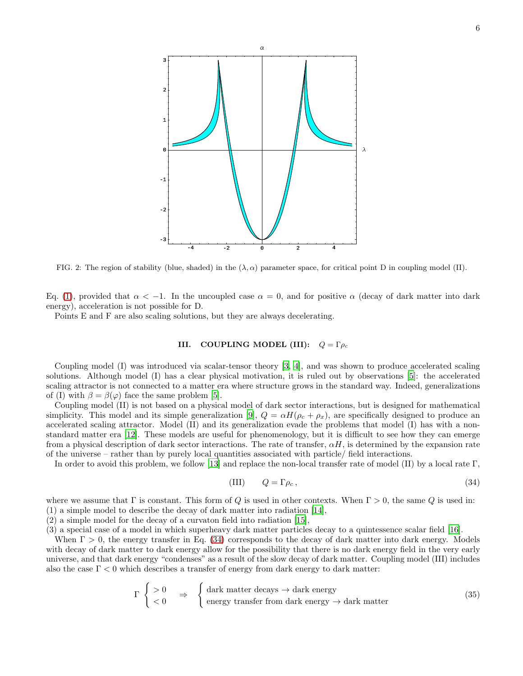

<span id="page-5-0"></span>FIG. 2: The region of stability (blue, shaded) in the  $(\lambda, \alpha)$  parameter space, for critical point D in coupling model (II).

Eq. [\(1\)](#page-0-4), provided that  $\alpha < -1$ . In the uncoupled case  $\alpha = 0$ , and for positive  $\alpha$  (decay of dark matter into dark energy), acceleration is not possible for D.

Points E and F are also scaling solutions, but they are always decelerating.

### III. COUPLING MODEL (III):  $Q = \Gamma \rho_c$

Coupling model (I) was introduced via scalar-tensor theory [\[3,](#page-10-1) [4\]](#page-10-2), and was shown to produce accelerated scaling solutions. Although model (I) has a clear physical motivation, it is ruled out by observations [\[5](#page-10-3)]: the accelerated scaling attractor is not connected to a matter era where structure grows in the standard way. Indeed, generalizations of (I) with  $\beta = \beta(\varphi)$  face the same problem [\[5\]](#page-10-3).

Coupling model (II) is not based on a physical model of dark sector interactions, but is designed for mathematical simplicity. This model and its simple generalization [\[9\]](#page-10-7),  $Q = \alpha H(\rho_c + \rho_x)$ , are specifically designed to produce an accelerated scaling attractor. Model (II) and its generalization evade the problems that model (I) has with a nonstandard matter era [\[12](#page-10-10)]. These models are useful for phenomenology, but it is difficult to see how they can emerge from a physical description of dark sector interactions. The rate of transfer,  $\alpha H$ , is determined by the expansion rate of the universe – rather than by purely local quantities associated with particle/ field interactions.

In order to avoid this problem, we follow [\[13\]](#page-10-11) and replace the non-local transfer rate of model (II) by a local rate Γ,

<span id="page-5-1"></span>
$$
(III) \tQ = \Gamma \rho_c, \t(34)
$$

where we assume that  $\Gamma$  is constant. This form of Q is used in other contexts. When  $\Gamma > 0$ , the same Q is used in: (1) a simple model to describe the decay of dark matter into radiation [\[14](#page-10-12)],

(2) a simple model for the decay of a curvaton field into radiation [\[15](#page-10-13)],

(3) a special case of a model in which superheavy dark matter particles decay to a quintessence scalar field [\[16\]](#page-10-14).

When  $\Gamma > 0$ , the energy transfer in Eq. [\(34\)](#page-5-1) corresponds to the decay of dark matter into dark energy. Models with decay of dark matter to dark energy allow for the possibility that there is no dark energy field in the very early universe, and that dark energy "condenses" as a result of the slow decay of dark matter. Coupling model (III) includes also the case  $\Gamma < 0$  which describes a transfer of energy from dark energy to dark matter:

$$
\Gamma \begin{cases} > 0 & \Rightarrow \quad \left\{ \text{ dark matter decays} \to \text{dark energy} \right. \\ < 0 & \Rightarrow \quad \left\{ \text{ energy transfer from dark energy} \to \text{dark matter} \right. \end{cases} \tag{35}
$$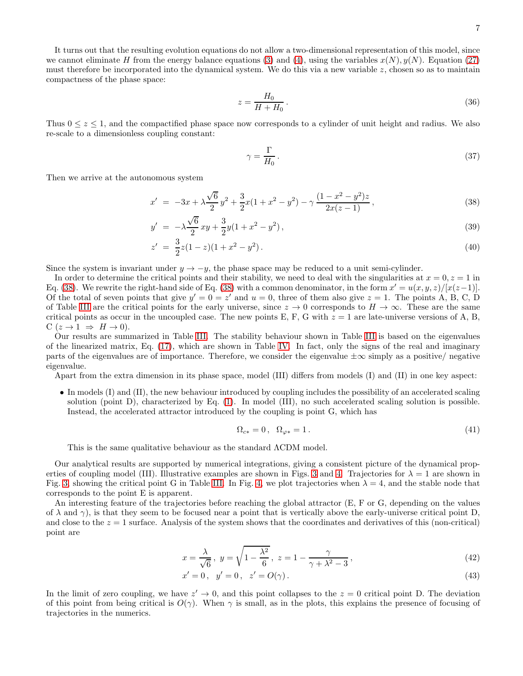7

It turns out that the resulting evolution equations do not allow a two-dimensional representation of this model, since we cannot eliminate H from the energy balance equations [\(3\)](#page-0-5) and [\(4\)](#page-0-5), using the variables  $x(N)$ ,  $y(N)$ . Equation [\(27\)](#page-2-1) must therefore be incorporated into the dynamical system. We do this via a new variable z, chosen so as to maintain compactness of the phase space:

$$
z = \frac{H_0}{H + H_0} \,. \tag{36}
$$

Thus  $0 \leq z \leq 1$ , and the compactified phase space now corresponds to a cylinder of unit height and radius. We also re-scale to a dimensionless coupling constant:

$$
\gamma = \frac{\Gamma}{H_0} \,. \tag{37}
$$

Then we arrive at the autonomous system

<span id="page-6-0"></span>
$$
x' = -3x + \lambda \frac{\sqrt{6}}{2}y^2 + \frac{3}{2}x(1 + x^2 - y^2) - \gamma \frac{(1 - x^2 - y^2)z}{2x(z - 1)},
$$
\n(38)

$$
y' = -\lambda \frac{\sqrt{6}}{2} xy + \frac{3}{2} y (1 + x^2 - y^2), \tag{39}
$$

$$
z' = \frac{3}{2}z(1-z)(1+x^2-y^2). \tag{40}
$$

Since the system is invariant under  $y \to -y$ , the phase space may be reduced to a unit semi-cylinder.

In order to determine the critical points and their stability, we need to deal with the singularities at  $x = 0, z = 1$  in Eq. [\(38\)](#page-6-0). We rewrite the right-hand side of Eq. (38) with a common denominator, in the form  $x' = u(x, y, z) / [x(z-1)]$ . Of the total of seven points that give  $y' = 0 = z'$  and  $u = 0$ , three of them also give  $z = 1$ . The points A, B, C, D of Table [III](#page-7-0) are the critical points for the early universe, since  $z \to 0$  corresponds to  $H \to \infty$ . These are the same critical points as occur in the uncoupled case. The new points E, F, G with  $z = 1$  are late-universe versions of A, B,  $C(z \rightarrow 1 \Rightarrow H \rightarrow 0).$ 

Our results are summarized in Table [III.](#page-7-0) The stability behaviour shown in Table [III](#page-7-0) is based on the eigenvalues of the linearized matrix, Eq. [\(17\)](#page-1-4), which are shown in Table [IV.](#page-7-1) In fact, only the signs of the real and imaginary parts of the eigenvalues are of importance. Therefore, we consider the eigenvalue  $\pm \infty$  simply as a positive/ negative eigenvalue.

Apart from the extra dimension in its phase space, model (III) differs from models (I) and (II) in one key aspect:

• In models (I) and (II), the new behaviour introduced by coupling includes the possibility of an accelerated scaling solution (point D), characterized by Eq. [\(1\)](#page-0-4). In model (III), no such accelerated scaling solution is possible. Instead, the accelerated attractor introduced by the coupling is point G, which has

$$
\Omega_{c*} = 0, \quad \Omega_{\varphi*} = 1. \tag{41}
$$

This is the same qualitative behaviour as the standard ΛCDM model.

Our analytical results are supported by numerical integrations, giving a consistent picture of the dynamical prop-erties of coupling model (III). Illustrative examples are shown in Figs. [3](#page-8-0) and [4.](#page-8-1) Trajectories for  $\lambda = 1$  are shown in Fig. [3,](#page-8-0) showing the critical point G in Table [III.](#page-7-0) In Fig. [4,](#page-8-1) we plot trajectories when  $\lambda = 4$ , and the stable node that corresponds to the point E is apparent.

An interesting feature of the trajectories before reaching the global attractor (E, F or G, depending on the values of  $\lambda$  and  $\gamma$ ), is that they seem to be focused near a point that is vertically above the early-universe critical point D, and close to the  $z = 1$  surface. Analysis of the system shows that the coordinates and derivatives of this (non-critical) point are

$$
x = \frac{\lambda}{\sqrt{6}}, \ y = \sqrt{1 - \frac{\lambda^2}{6}}, \ z = 1 - \frac{\gamma}{\gamma + \lambda^2 - 3}, \tag{42}
$$

$$
x' = 0, \quad y' = 0, \quad z' = O(\gamma). \tag{43}
$$

In the limit of zero coupling, we have  $z' \to 0$ , and this point collapses to the  $z = 0$  critical point D. The deviation of this point from being critical is  $O(\gamma)$ . When  $\gamma$  is small, as in the plots, this explains the presence of focusing of trajectories in the numerics.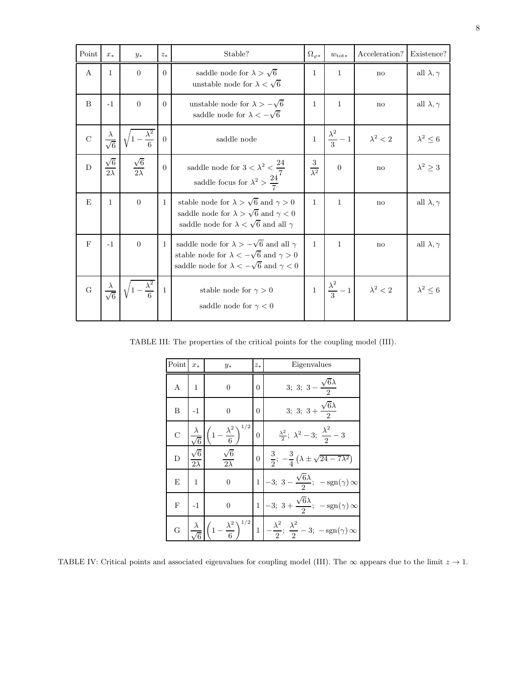| Point        | $x_{*}$                     | $y_*$                       | $\mathcal{Z}_*$ | Stable?                                                                                                                                                                    |  | $w_{\text{tot}*}$         | Acceleration?   | Existence?            |
|--------------|-----------------------------|-----------------------------|-----------------|----------------------------------------------------------------------------------------------------------------------------------------------------------------------------|--|---------------------------|-----------------|-----------------------|
| A            | $\mathbf{1}$                | $\overline{0}$              | $\Omega$        | saddle node for $\lambda > \sqrt{6}$<br>unstable node for $\lambda < \sqrt{6}$                                                                                             |  | 1                         | no              | all $\lambda, \gamma$ |
| B            | $-1$                        | $\overline{0}$              | $\Omega$        | unstable node for $\lambda > -\sqrt{6}$<br>saddle node for $\lambda < -\sqrt{6}$                                                                                           |  | 1                         | $\mathbf{n}$    | all $\lambda, \gamma$ |
| $\rm C$      | $\sqrt{6}$                  | $\frac{\lambda^2}{6}$       | $\overline{0}$  | saddle node                                                                                                                                                                |  | $\frac{\lambda^2}{3}-1$   | $\lambda^2 < 2$ | $\lambda^2 \leq 6$    |
| D            | $\frac{\sqrt{6}}{2\lambda}$ | $\frac{\sqrt{6}}{2\lambda}$ | $\overline{0}$  | saddle node for $3 < \lambda^2 < \frac{24}{7}$<br>saddle focus for $\lambda^2 > \frac{24}{7}$                                                                              |  | $\theta$                  | $\mathbf{n}$    | $\lambda^2 \geq 3$    |
| E            | $\mathbf{1}$                | $\overline{0}$              | 1               | stable node for $\lambda > \sqrt{6}$ and $\gamma > 0$<br>saddle node for $\lambda > \sqrt{6}$ and $\gamma < 0$<br>saddle node for $\lambda < \sqrt{6}$ and all $\gamma$    |  | $\mathbf{1}$              | no              | all $\lambda, \gamma$ |
| $\mathbf{F}$ | $-1$                        | $\overline{0}$              | $\mathbf{1}$    | saddle node for $\lambda > -\sqrt{6}$ and all $\gamma$<br>stable node for $\lambda < -\sqrt{6}$ and $\gamma > 0$<br>saddle node for $\lambda < -\sqrt{6}$ and $\gamma < 0$ |  | 1                         | $\mathbf{n}$    | all $\lambda, \gamma$ |
| G            |                             |                             | 1               | stable node for $\gamma > 0$<br>saddle node for $\gamma < 0$                                                                                                               |  | $\frac{\lambda^2}{3} - 1$ | $\lambda^2 < 2$ | $\lambda^2 \leq 6$    |

TABLE III: The properties of the critical points for the coupling model (III).

<span id="page-7-0"></span>

| Point          | $x_*$      | $y_*$                    | $z_*$          | Eigenvalues                                                         |
|----------------|------------|--------------------------|----------------|---------------------------------------------------------------------|
| А              | 1          | $\overline{0}$           | $\overline{0}$ | $3; 3; 3 -$                                                         |
| B              | $-1$       | $\overline{0}$           | 0              | 3; 3; $3 + \frac{\sqrt{6}\lambda}{2}$                               |
| $\overline{C}$ |            | 1/2<br>$\lambda^2$<br>6  | $\overline{0}$ | $\frac{\lambda^2}{2}$ ; $\lambda^2 - 3$ ; $\frac{\lambda^2}{2} - 3$ |
| D              | $2\lambda$ | $\sqrt{6}$<br>$2\lambda$ | $\overline{0}$ | $\frac{3}{2}$ ; $-\frac{3}{4}(\lambda \pm \sqrt{24-7\lambda^2})$    |
| E              | 1          | $\boldsymbol{0}$         | 1              | $-3; 3 - \frac{\sqrt{6\lambda}}{2}; -\text{sgn}(\gamma) \infty$     |
| $_{\rm F}$     | $-1$       | $\overline{0}$           | $\mathbf{1}$   | $-3; 3+\frac{\sqrt{6}\lambda}{2}; -sgn(\gamma) \infty$              |
| G              |            | 1/2                      | 1              | $-\frac{\lambda^2}{2}; \frac{\lambda^2}{2}-3; -sgn(\gamma) \infty$  |

<span id="page-7-1"></span>TABLE IV: Critical points and associated eigenvalues for coupling model (III). The  $\infty$  appears due to the limit  $z \to 1$ .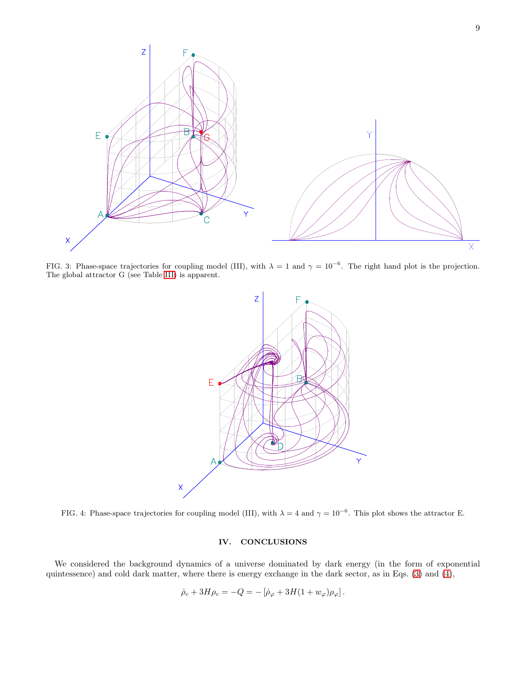

<span id="page-8-0"></span>FIG. 3: Phase-space trajectories for coupling model (III), with  $\lambda = 1$  and  $\gamma = 10^{-6}$ . The right hand plot is the projection. The global attractor G (see Table [III\)](#page-7-0) is apparent.



<span id="page-8-1"></span>FIG. 4: Phase-space trajectories for coupling model (III), with  $\lambda = 4$  and  $\gamma = 10^{-6}$ . This plot shows the attractor E.

## IV. CONCLUSIONS

We considered the background dynamics of a universe dominated by dark energy (in the form of exponential quintessence) and cold dark matter, where there is energy exchange in the dark sector, as in Eqs. [\(3\)](#page-0-5) and [\(4\)](#page-0-5),

$$
\dot{\rho}_c + 3H\rho_c = -Q = -[\dot{\rho}_{\varphi} + 3H(1 + w_{\varphi})\rho_{\varphi}].
$$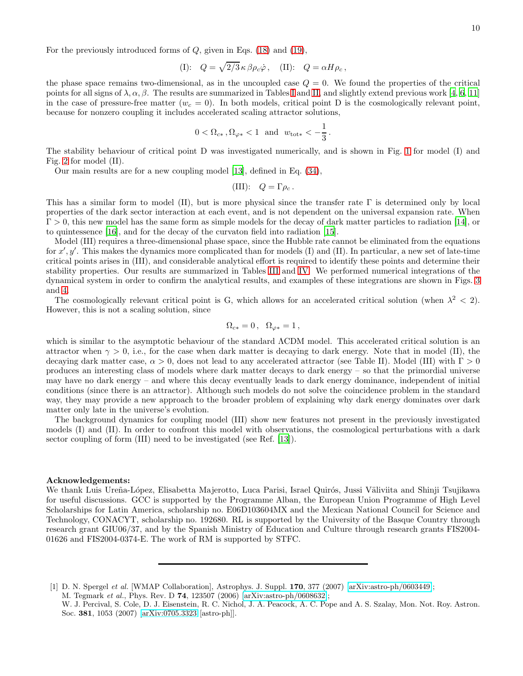For the previously introduced forms of  $Q$ , given in Eqs. [\(18\)](#page-2-2) and [\(19\)](#page-2-2),

(I): 
$$
Q = \sqrt{2/3} \kappa \beta \rho_c \dot{\varphi}
$$
, (II):  $Q = \alpha H \rho_c$ ,

the phase space remains two-dimensional, as in the uncoupled case  $Q = 0$ . We found the properties of the critical points for all signs of  $\lambda, \alpha, \beta$ . The results are summarized in Tables [I](#page-3-0) and [II,](#page-4-1) and slightly extend previous work [\[4,](#page-10-2) [6,](#page-10-5) [11](#page-10-9)] in the case of pressure-free matter ( $w_c = 0$ ). In both models, critical point D is the cosmologically relevant point, because for nonzero coupling it includes accelerated scaling attractor solutions,

$$
0 < \Omega_{c*}
$$
,  $\Omega_{\varphi*} < 1$  and  $w_{\text{tot*}} < -\frac{1}{3}$ .

The stability behaviour of critical point D was investigated numerically, and is shown in Fig. [1](#page-4-0) for model (I) and Fig. [2](#page-5-0) for model (II).

Our main results are for a new coupling model [\[13\]](#page-10-11), defined in Eq. [\(34\)](#page-5-1),

(III): 
$$
Q = \Gamma \rho_c
$$
.

This has a similar form to model (II), but is more physical since the transfer rate  $\Gamma$  is determined only by local properties of the dark sector interaction at each event, and is not dependent on the universal expansion rate. When  $\Gamma > 0$ , this new model has the same form as simple models for the decay of dark matter particles to radiation [\[14\]](#page-10-12), or to quintessence [\[16](#page-10-14)], and for the decay of the curvaton field into radiation [\[15](#page-10-13)].

Model (III) requires a three-dimensional phase space, since the Hubble rate cannot be eliminated from the equations for  $x', y'$ . This makes the dynamics more complicated than for models (I) and (II). In particular, a new set of late-time critical points arises in (III), and considerable analytical effort is required to identify these points and determine their stability properties. Our results are summarized in Tables [III](#page-7-0) and [IV.](#page-7-1) We performed numerical integrations of the dynamical system in order to confirm the analytical results, and examples of these integrations are shown in Figs. [3](#page-8-0) and [4.](#page-8-1)

The cosmologically relevant critical point is G, which allows for an accelerated critical solution (when  $\lambda^2$  < 2). However, this is not a scaling solution, since

$$
\Omega_{c*} = 0\,,\ \ \Omega_{\varphi*} = 1\,,
$$

which is similar to the asymptotic behaviour of the standard ΛCDM model. This accelerated critical solution is an attractor when  $\gamma > 0$ , i.e., for the case when dark matter is decaying to dark energy. Note that in model (II), the decaying dark matter case,  $\alpha > 0$ , does not lead to any accelerated attractor (see Table II). Model (III) with  $\Gamma > 0$ produces an interesting class of models where dark matter decays to dark energy – so that the primordial universe may have no dark energy – and where this decay eventually leads to dark energy dominance, independent of initial conditions (since there is an attractor). Although such models do not solve the coincidence problem in the standard way, they may provide a new approach to the broader problem of explaining why dark energy dominates over dark matter only late in the universe's evolution.

The background dynamics for coupling model (III) show new features not present in the previously investigated models (I) and (II). In order to confront this model with observations, the cosmological perturbations with a dark sector coupling of form (III) need to be investigated (see Ref. [\[13\]](#page-10-11)).

#### Acknowledgements:

We thank Luis Ureña-López, Elisabetta Majerotto, Luca Parisi, Israel Quirós, Jussi Väliviita and Shinji Tsujikawa for useful discussions. GCC is supported by the Programme Alban, the European Union Programme of High Level Scholarships for Latin America, scholarship no. E06D103604MX and the Mexican National Council for Science and Technology, CONACYT, scholarship no. 192680. RL is supported by the University of the Basque Country through research grant GIU06/37, and by the Spanish Ministry of Education and Culture through research grants FIS2004- 01626 and FIS2004-0374-E. The work of RM is supported by STFC.

<span id="page-9-0"></span><sup>[1]</sup> D. N. Spergel et al. [WMAP Collaboration], Astrophys. J. Suppl. 170, 377 (2007) [\[arXiv:astro-ph/0603449\]](http://arxiv.org/abs/astro-ph/0603449); M. Tegmark et al., Phys. Rev. D 74, 123507 (2006) [\[arXiv:astro-ph/0608632\]](http://arxiv.org/abs/astro-ph/0608632);

W. J. Percival, S. Cole, D. J. Eisenstein, R. C. Nichol, J. A. Peacock, A. C. Pope and A. S. Szalay, Mon. Not. Roy. Astron. Soc. 381, 1053 (2007) [\[arXiv:0705.3323](http://arxiv.org/abs/0705.3323) [astro-ph]].